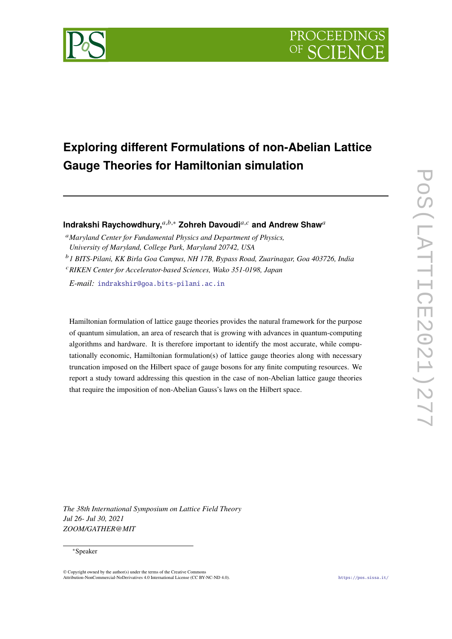

# **Exploring different Formulations of non-Abelian Lattice Gauge Theories for Hamiltonian simulation**

**Indrakshi Raychowdhury,**<sup>a,b,</sup>\* Zohreh Davoudi<sup>a,c</sup> and Andrew Shaw<sup>a</sup>

<sup>*a*</sup> Maryland Center for Fundamental Physics and Department of Physics, *University of Maryland, College Park, Maryland 20742, USA*

<sup>𝑏</sup>*1 BITS-Pilani, KK Birla Goa Campus, NH 17B, Bypass Road, Zuarinagar, Goa 403726, India* <sup>𝑐</sup>*RIKEN Center for Accelerator-based Sciences, Wako 351-0198, Japan*

*E-mail:* [indrakshir@goa.bits-pilani.ac.in](mailto:indrakshir@goa.bits-pilani.ac.in)

Hamiltonian formulation of lattice gauge theories provides the natural framework for the purpose of quantum simulation, an area of research that is growing with advances in quantum-computing algorithms and hardware. It is therefore important to identify the most accurate, while computationally economic, Hamiltonian formulation(s) of lattice gauge theories along with necessary truncation imposed on the Hilbert space of gauge bosons for any finite computing resources. We report a study toward addressing this question in the case of non-Abelian lattice gauge theories that require the imposition of non-Abelian Gauss's laws on the Hilbert space.

*The 38th International Symposium on Lattice Field Theory Jul 26- Jul 30, 2021 ZOOM/GATHER@MIT*

# <sup>∗</sup>Speaker

© Copyright owned by the author(s) under the terms of the Creative Commons Attribution-NonCommercial-NoDerivatives 4.0 International License (CC BY-NC-ND 4.0). <https://pos.sissa.it/>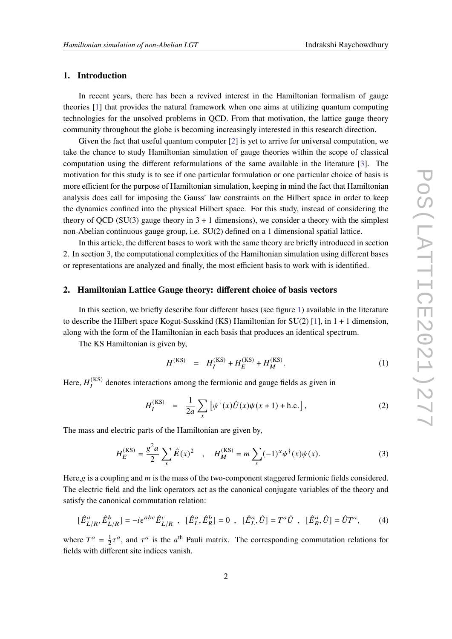# **1. Introduction**

In recent years, there has been a revived interest in the Hamiltonian formalism of gauge theories [\[1\]](#page-7-0) that provides the natural framework when one aims at utilizing quantum computing technologies for the unsolved problems in QCD. From that motivation, the lattice gauge theory community throughout the globe is becoming increasingly interested in this research direction.

Given the fact that useful quantum computer [\[2\]](#page-7-1) is yet to arrive for universal computation, we take the chance to study Hamiltonian simulation of gauge theories within the scope of classical computation using the different reformulations of the same available in the literature [\[3\]](#page-7-2). The motivation for this study is to see if one particular formulation or one particular choice of basis is more efficient for the purpose of Hamiltonian simulation, keeping in mind the fact that Hamiltonian analysis does call for imposing the Gauss' law constraints on the Hilbert space in order to keep the dynamics confined into the physical Hilbert space. For this study, instead of considering the theory of QCD (SU(3) gauge theory in  $3 + 1$  dimensions), we consider a theory with the simplest non-Abelian continuous gauge group, i.e. SU(2) defined on a 1 dimensional spatial lattice.

In this article, the different bases to work with the same theory are briefly introduced in section 2. In section 3, the computational complexities of the Hamiltonian simulation using different bases or representations are analyzed and finally, the most efficient basis to work with is identified.

#### **2. Hamiltonian Lattice Gauge theory: different choice of basis vectors**

In this section, we briefly describe four different bases (see figure [1\)](#page-2-0) available in the literature to describe the Hilbert space Kogut-Susskind (KS) Hamiltonian for  $SU(2)$  [\[1\]](#page-7-0), in 1 + 1 dimension, along with the form of the Hamiltonian in each basis that produces an identical spectrum.

The KS Hamiltonian is given by,

<span id="page-1-0"></span>
$$
H^{(KS)} = H_I^{(KS)} + H_E^{(KS)} + H_M^{(KS)}.
$$
 (1)

Here,  $H_I^{(KS)}$  denotes interactions among the fermionic and gauge fields as given in

$$
H_I^{(KS)} = \frac{1}{2a} \sum_x \left[ \psi^\dagger(x) \hat{U}(x) \psi(x+1) + \text{h.c.} \right],\tag{2}
$$

The mass and electric parts of the Hamiltonian are given by,

$$
H_E^{(KS)} = \frac{g^2 a}{2} \sum_x \hat{E}(x)^2 \quad , \quad H_M^{(KS)} = m \sum_x (-1)^x \psi^\dagger(x) \psi(x). \tag{3}
$$

Here,g is a coupling and  $m$  is the mass of the two-component staggered fermionic fields considered. The electric field and the link operators act as the canonical conjugate variables of the theory and satisfy the canonical commutation relation:

$$
[\hat{E}_{L/R}^a, \hat{E}_{L/R}^b] = -i\epsilon^{abc}\hat{E}_{L/R}^c , [\hat{E}_L^a, \hat{E}_R^b] = 0 , [\hat{E}_L^a, \hat{U}] = T^a \hat{U} , [\hat{E}_R^a, \hat{U}] = \hat{U}T^a, \qquad (4)
$$

where  $T^a = \frac{1}{2}$  $\frac{1}{2}\tau^a$ , and  $\tau^a$  is the  $a^{\text{th}}$  Pauli matrix. The corresponding commutation relations for fields with different site indices vanish.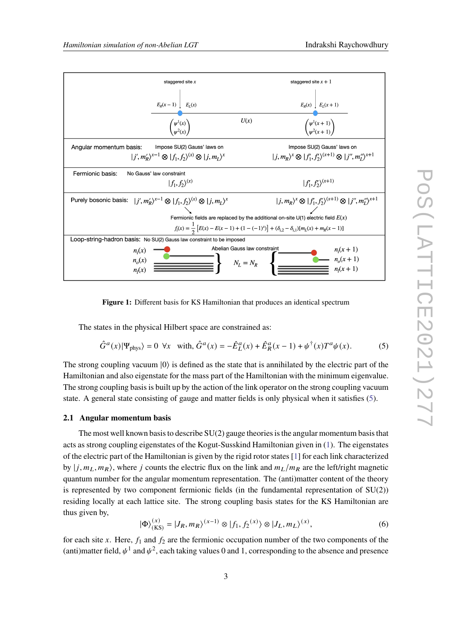<span id="page-2-0"></span>

**Figure 1:** Different basis for KS Hamiltonian that produces an identical spectrum

The states in the physical Hilbert space are constrained as:

<span id="page-2-1"></span>
$$
\hat{G}^a(x)|\Psi_{\text{phys}}\rangle = 0 \quad \forall x \quad \text{with, } \hat{G}^a(x) = -\hat{E}_L^a(x) + \hat{E}_R^a(x-1) + \psi^\dagger(x)T^a\psi(x). \tag{5}
$$

The strong coupling vacuum  $|0\rangle$  is defined as the state that is annihilated by the electric part of the Hamiltonian and also eigenstate for the mass part of the Hamiltonian with the minimum eigenvalue. The strong coupling basis is built up by the action of the link operator on the strong coupling vacuum state. A general state consisting of gauge and matter fields is only physical when it satisfies [\(5\)](#page-2-1).

#### **2.1 Angular momentum basis**

The most well known basis to describe  $SU(2)$  gauge theories is the angular momentum basis that acts as strong coupling eigenstates of the Kogut-Susskind Hamiltonian given in [\(1\)](#page-1-0). The eigenstates of the electric part of the Hamiltonian is given by the rigid rotor states [\[1\]](#page-7-0) for each link characterized by  $|j, m_L, m_R\rangle$ , where j counts the electric flux on the link and  $m_L/m_R$  are the left/right magnetic quantum number for the angular momentum representation. The (anti)matter content of the theory is represented by two component fermionic fields (in the fundamental representation of  $SU(2)$ ) residing locally at each lattice site. The strong coupling basis states for the KS Hamiltonian are thus given by,

<span id="page-2-2"></span>
$$
|\Phi\rangle_{(KS)}^{(x)} = |J_R, m_R\rangle^{(x-1)} \otimes |f_1, f_2^{(x)}\rangle \otimes |J_L, m_L\rangle^{(x)},
$$
\n(6)

for each site x. Here,  $f_1$  and  $f_2$  are the fermionic occupation number of the two components of the (anti)matter field,  $\psi^1$  and  $\psi^2$ , each taking values 0 and 1, corresponding to the absence and presence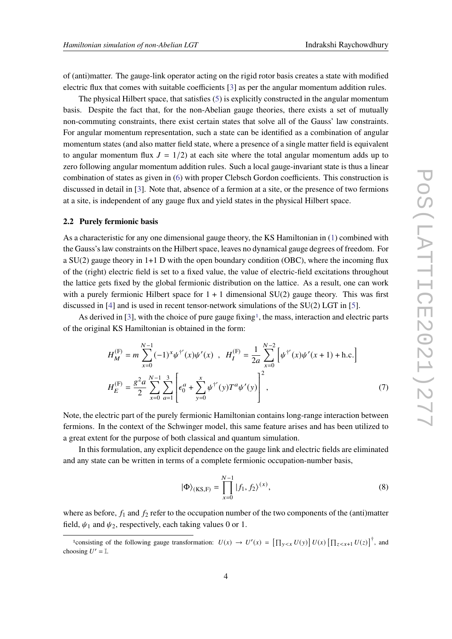of (anti)matter. The gauge-link operator acting on the rigid rotor basis creates a state with modified electric flux that comes with suitable coefficients [\[3\]](#page-7-2) as per the angular momentum addition rules.

The physical Hilbert space, that satisfies [\(5\)](#page-2-1) is explicitly constructed in the angular momentum basis. Despite the fact that, for the non-Abelian gauge theories, there exists a set of mutually non-commuting constraints, there exist certain states that solve all of the Gauss' law constraints. For angular momentum representation, such a state can be identified as a combination of angular momentum states (and also matter field state, where a presence of a single matter field is equivalent to angular momentum flux  $J = 1/2$ ) at each site where the total angular momentum adds up to zero following angular momentum addition rules. Such a local gauge-invariant state is thus a linear combination of states as given in [\(6\)](#page-2-2) with proper Clebsch Gordon coefficients. This construction is discussed in detail in [\[3\]](#page-7-2). Note that, absence of a fermion at a site, or the presence of two fermions at a site, is independent of any gauge flux and yield states in the physical Hilbert space.

#### **2.2 Purely fermionic basis**

As a characteristic for any one dimensional gauge theory, the KS Hamiltonian in [\(1\)](#page-1-0) combined with the Gauss's law constraints on the Hilbert space, leaves no dynamical gauge degrees of freedom. For a SU(2) gauge theory in 1+1 D with the open boundary condition (OBC), where the incoming flux of the (right) electric field is set to a fixed value, the value of electric-field excitations throughout the lattice gets fixed by the global fermionic distribution on the lattice. As a result, one can work with a purely fermionic Hilbert space for  $1 + 1$  dimensional SU(2) gauge theory. This was first discussed in [\[4\]](#page-7-3) and is used in recent tensor-network simulations of the SU(2) LGT in [\[5\]](#page-7-4).

As derived in  $[3]$ , with the choice of pure gauge fixing<sup>[1](#page-3-0)</sup>, the mass, interaction and electric parts of the original KS Hamiltonian is obtained in the form:

$$
H_M^{(F)} = m \sum_{x=0}^{N-1} (-1)^x \psi^{\dagger'}(x) \psi'(x) , \quad H_I^{(F)} = \frac{1}{2a} \sum_{x=0}^{N-2} \left[ \psi^{\dagger'}(x) \psi'(x+1) + \text{h.c.} \right]
$$

$$
H_E^{(F)} = \frac{g^2 a}{2} \sum_{x=0}^{N-1} \sum_{a=1}^3 \left[ \epsilon_0^a + \sum_{y=0}^x \psi^{\dagger'}(y) T^a \psi'(y) \right]^2 , \tag{7}
$$

Note, the electric part of the purely fermionic Hamiltonian contains long-range interaction between fermions. In the context of the Schwinger model, this same feature arises and has been utilized to a great extent for the purpose of both classical and quantum simulation.

In this formulation, any explicit dependence on the gauge link and electric fields are eliminated and any state can be written in terms of a complete fermionic occupation-number basis,

$$
|\Phi\rangle_{(KS,F)} = \prod_{x=0}^{N-1} |f_1, f_2\rangle^{(x)},
$$
\n(8)

where as before,  $f_1$  and  $f_2$  refer to the occupation number of the two components of the (anti)matter field,  $\psi_1$  and  $\psi_2$ , respectively, each taking values 0 or 1.

<span id="page-3-0"></span><sup>&</sup>lt;sup>1</sup>consisting of the following gauge transformation:  $U(x) \to U'(x) = [\prod_{y \leq x} U(y)] U(x) [\prod_{z \leq x+1} U(z)]^{\dagger}$ , and choosing  $U' = \mathbb{I}$ .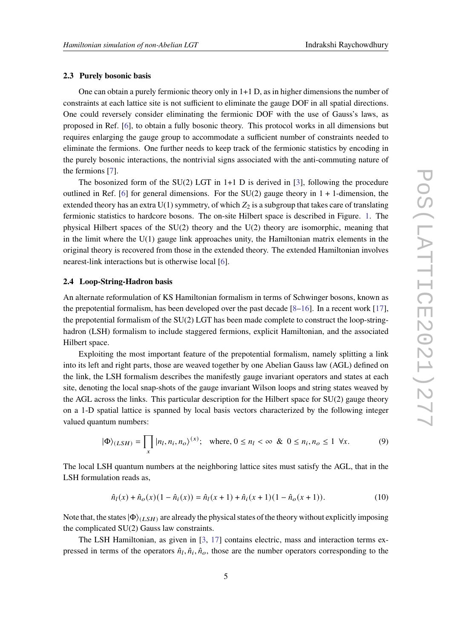#### **2.3 Purely bosonic basis**

One can obtain a purely fermionic theory only in 1+1 D, as in higher dimensions the number of constraints at each lattice site is not sufficient to eliminate the gauge DOF in all spatial directions. One could reversely consider eliminating the fermionic DOF with the use of Gauss's laws, as proposed in Ref. [\[6\]](#page-7-5), to obtain a fully bosonic theory. This protocol works in all dimensions but requires enlarging the gauge group to accommodate a sufficient number of constraints needed to eliminate the fermions. One further needs to keep track of the fermionic statistics by encoding in the purely bosonic interactions, the nontrivial signs associated with the anti-commuting nature of the fermions [\[7\]](#page-7-6).

The bosonized form of the  $SU(2)$  LGT in 1+1 D is derived in [\[3\]](#page-7-2), following the procedure outlined in Ref. [\[6\]](#page-7-5) for general dimensions. For the  $SU(2)$  gauge theory in  $1 + 1$ -dimension, the extended theory has an extra  $U(1)$  symmetry, of which  $Z_2$  is a subgroup that takes care of translating fermionic statistics to hardcore bosons. The on-site Hilbert space is described in Figure. [1.](#page-2-0) The physical Hilbert spaces of the SU(2) theory and the U(2) theory are isomorphic, meaning that in the limit where the  $U(1)$  gauge link approaches unity, the Hamiltonian matrix elements in the original theory is recovered from those in the extended theory. The extended Hamiltonian involves nearest-link interactions but is otherwise local [\[6\]](#page-7-5).

#### **2.4 Loop-String-Hadron basis**

An alternate reformulation of KS Hamiltonian formalism in terms of Schwinger bosons, known as the prepotential formalism, has been developed over the past decade  $[8-16]$  $[8-16]$ . In a recent work  $[17]$ , the prepotential formalism of the SU(2) LGT has been made complete to construct the loop-stringhadron (LSH) formalism to include staggered fermions, explicit Hamiltonian, and the associated Hilbert space.

Exploiting the most important feature of the prepotential formalism, namely splitting a link into its left and right parts, those are weaved together by one Abelian Gauss law (AGL) defined on the link, the LSH formalism describes the manifestly gauge invariant operators and states at each site, denoting the local snap-shots of the gauge invariant Wilson loops and string states weaved by the AGL across the links. This particular description for the Hilbert space for  $SU(2)$  gauge theory on a 1-D spatial lattice is spanned by local basis vectors characterized by the following integer valued quantum numbers:

$$
|\Phi\rangle_{(LSH)} = \prod_{x} |n_l, n_i, n_o\rangle^{(x)}; \text{ where, } 0 \le n_l < \infty \& 0 \le n_i, n_o \le 1 \forall x. \tag{9}
$$

The local LSH quantum numbers at the neighboring lattice sites must satisfy the AGL, that in the LSH formulation reads as,

<span id="page-4-0"></span>
$$
\hat{n}_l(x) + \hat{n}_o(x)(1 - \hat{n}_i(x)) = \hat{n}_l(x+1) + \hat{n}_i(x+1)(1 - \hat{n}_o(x+1)).
$$
\n(10)

Note that, the states  $|\Phi\rangle_{(LSH)}$  are already the physical states of the theory without explicitly imposing the complicated SU(2) Gauss law constraints.

The LSH Hamiltonian, as given in [\[3,](#page-7-2) [17\]](#page-8-1) contains electric, mass and interaction terms expressed in terms of the operators  $\hat{n}_l$ ,  $\hat{n}_i$ ,  $\hat{n}_o$ , those are the number operators corresponding to the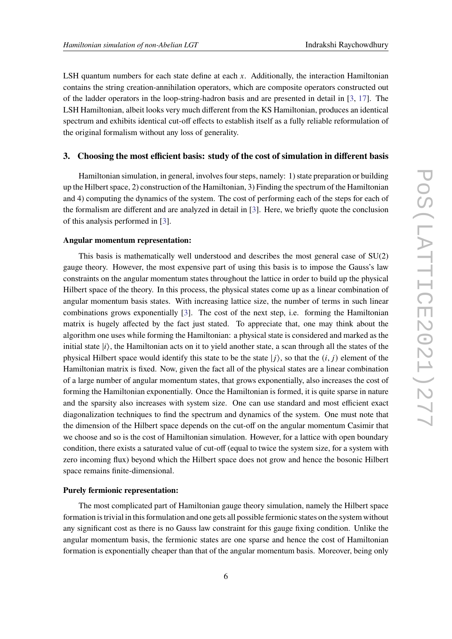LSH quantum numbers for each state define at each  $x$ . Additionally, the interaction Hamiltonian contains the string creation-annihilation operators, which are composite operators constructed out of the ladder operators in the loop-string-hadron basis and are presented in detail in [\[3,](#page-7-2) [17\]](#page-8-1). The LSH Hamiltonian, albeit looks very much different from the KS Hamiltonian, produces an identical spectrum and exhibits identical cut-off effects to establish itself as a fully reliable reformulation of the original formalism without any loss of generality.

# **3. Choosing the most efficient basis: study of the cost of simulation in different basis**

Hamiltonian simulation, in general, involves four steps, namely: 1) state preparation or building up the Hilbert space, 2) construction of the Hamiltonian, 3) Finding the spectrum of the Hamiltonian and 4) computing the dynamics of the system. The cost of performing each of the steps for each of the formalism are different and are analyzed in detail in [\[3\]](#page-7-2). Here, we briefly quote the conclusion of this analysis performed in [\[3\]](#page-7-2).

#### **Angular momentum representation:**

This basis is mathematically well understood and describes the most general case of SU(2) gauge theory. However, the most expensive part of using this basis is to impose the Gauss's law constraints on the angular momentum states throughout the lattice in order to build up the physical Hilbert space of the theory. In this process, the physical states come up as a linear combination of angular momentum basis states. With increasing lattice size, the number of terms in such linear combinations grows exponentially [\[3\]](#page-7-2). The cost of the next step, i.e. forming the Hamiltonian matrix is hugely affected by the fact just stated. To appreciate that, one may think about the algorithm one uses while forming the Hamiltonian: a physical state is considered and marked as the initial state  $|i\rangle$ , the Hamiltonian acts on it to yield another state, a scan through all the states of the physical Hilbert space would identify this state to be the state  $|j\rangle$ , so that the  $(i, j)$  element of the Hamiltonian matrix is fixed. Now, given the fact all of the physical states are a linear combination of a large number of angular momentum states, that grows exponentially, also increases the cost of forming the Hamiltonian exponentially. Once the Hamiltonian is formed, it is quite sparse in nature and the sparsity also increases with system size. One can use standard and most efficient exact diagonalization techniques to find the spectrum and dynamics of the system. One must note that the dimension of the Hilbert space depends on the cut-off on the angular momentum Casimir that we choose and so is the cost of Hamiltonian simulation. However, for a lattice with open boundary condition, there exists a saturated value of cut-off (equal to twice the system size, for a system with zero incoming flux) beyond which the Hilbert space does not grow and hence the bosonic Hilbert space remains finite-dimensional.

### **Purely fermionic representation:**

The most complicated part of Hamiltonian gauge theory simulation, namely the Hilbert space formation is trivial in this formulation and one gets all possible fermionic states on the system without any significant cost as there is no Gauss law constraint for this gauge fixing condition. Unlike the angular momentum basis, the fermionic states are one sparse and hence the cost of Hamiltonian formation is exponentially cheaper than that of the angular momentum basis. Moreover, being only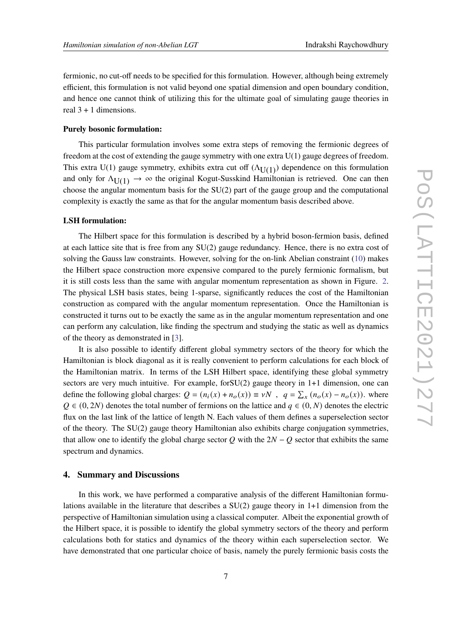fermionic, no cut-off needs to be specified for this formulation. However, although being extremely efficient, this formulation is not valid beyond one spatial dimension and open boundary condition, and hence one cannot think of utilizing this for the ultimate goal of simulating gauge theories in real  $3 + 1$  dimensions.

# **Purely bosonic formulation:**

This particular formulation involves some extra steps of removing the fermionic degrees of freedom at the cost of extending the gauge symmetry with one extra U(1) gauge degrees of freedom. This extra U(1) gauge symmetry, exhibits extra cut off  $(\Lambda_{\text{U(1)}})$  dependence on this formulation and only for  $\Lambda_{\text{U}(1)} \to \infty$  the original Kogut-Susskind Hamiltonian is retrieved. One can then choose the angular momentum basis for the  $SU(2)$  part of the gauge group and the computational complexity is exactly the same as that for the angular momentum basis described above.

#### **LSH formulation:**

The Hilbert space for this formulation is described by a hybrid boson-fermion basis, defined at each lattice site that is free from any SU(2) gauge redundancy. Hence, there is no extra cost of solving the Gauss law constraints. However, solving for the on-link Abelian constraint [\(10\)](#page-4-0) makes the Hilbert space construction more expensive compared to the purely fermionic formalism, but it is still costs less than the same with angular momentum representation as shown in Figure. [2.](#page-9-0) The physical LSH basis states, being 1-sparse, significantly reduces the cost of the Hamiltonian construction as compared with the angular momentum representation. Once the Hamiltonian is constructed it turns out to be exactly the same as in the angular momentum representation and one can perform any calculation, like finding the spectrum and studying the static as well as dynamics of the theory as demonstrated in [\[3\]](#page-7-2).

It is also possible to identify different global symmetry sectors of the theory for which the Hamiltonian is block diagonal as it is really convenient to perform calculations for each block of the Hamiltonian matrix. In terms of the LSH Hilbert space, identifying these global symmetry sectors are very much intuitive. For example, for SU(2) gauge theory in 1+1 dimension, one can define the following global charges:  $Q = (n_i(x) + n_o(x)) \equiv \nu N$ ,  $q = \sum_x (n_o(x) - n_o(x))$ . where  $Q \in (0, 2N)$  denotes the total number of fermions on the lattice and  $q \in (0, N)$  denotes the electric flux on the last link of the lattice of length N. Each values of them defines a superselection sector of the theory. The SU(2) gauge theory Hamiltonian also exhibits charge conjugation symmetries, that allow one to identify the global charge sector  $Q$  with the  $2N - Q$  sector that exhibits the same spectrum and dynamics.

#### **4. Summary and Discussions**

In this work, we have performed a comparative analysis of the different Hamiltonian formulations available in the literature that describes a  $SU(2)$  gauge theory in 1+1 dimension from the perspective of Hamiltonian simulation using a classical computer. Albeit the exponential growth of the Hilbert space, it is possible to identify the global symmetry sectors of the theory and perform calculations both for statics and dynamics of the theory within each superselection sector. We have demonstrated that one particular choice of basis, namely the purely fermionic basis costs the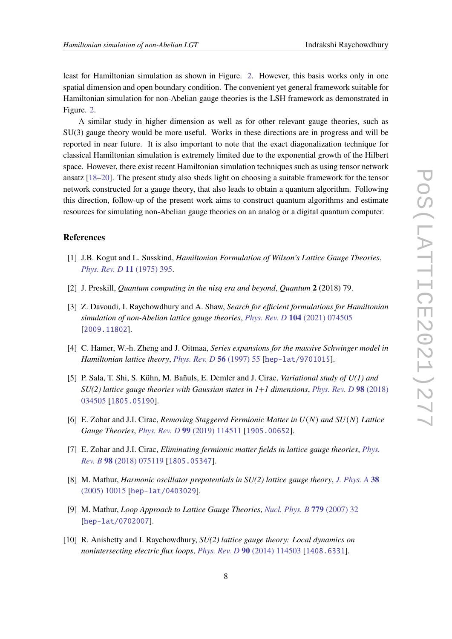least for Hamiltonian simulation as shown in Figure. [2.](#page-9-0) However, this basis works only in one spatial dimension and open boundary condition. The convenient yet general framework suitable for Hamiltonian simulation for non-Abelian gauge theories is the LSH framework as demonstrated in Figure. [2.](#page-9-0)

A similar study in higher dimension as well as for other relevant gauge theories, such as SU(3) gauge theory would be more useful. Works in these directions are in progress and will be reported in near future. It is also important to note that the exact diagonalization technique for classical Hamiltonian simulation is extremely limited due to the exponential growth of the Hilbert space. However, there exist recent Hamiltonian simulation techniques such as using tensor network ansatz [\[18](#page-8-2)[–20\]](#page-8-3). The present study also sheds light on choosing a suitable framework for the tensor network constructed for a gauge theory, that also leads to obtain a quantum algorithm. Following this direction, follow-up of the present work aims to construct quantum algorithms and estimate resources for simulating non-Abelian gauge theories on an analog or a digital quantum computer.

# **References**

- <span id="page-7-0"></span>[1] J.B. Kogut and L. Susskind, *Hamiltonian Formulation of Wilson's Lattice Gauge Theories*, *[Phys. Rev. D](https://doi.org/10.1103/PhysRevD.11.395)* **11** (1975) 395.
- <span id="page-7-1"></span>[2] J. Preskill, *Quantum computing in the nisq era and beyond*, *Quantum* **2** (2018) 79.
- <span id="page-7-2"></span>[3] Z. Davoudi, I. Raychowdhury and A. Shaw, *Search for efficient formulations for Hamiltonian simulation of non-Abelian lattice gauge theories*, *Phys. Rev. D* **104** [\(2021\) 074505](https://doi.org/10.1103/PhysRevD.104.074505) [[2009.11802](https://arxiv.org/abs/2009.11802)].
- <span id="page-7-3"></span>[4] C. Hamer, W.-h. Zheng and J. Oitmaa, *Series expansions for the massive Schwinger model in Hamiltonian lattice theory*, *[Phys. Rev. D](https://doi.org/10.1103/PhysRevD.56.55)* **56** (1997) 55 [[hep-lat/9701015](https://arxiv.org/abs/hep-lat/9701015)].
- <span id="page-7-4"></span>[5] P. Sala, T. Shi, S. Kühn, M. Bañuls, E. Demler and J. Cirac, *Variational study of U(1) and SU(2) lattice gauge theories with Gaussian states in 1+1 dimensions*, *[Phys. Rev. D](https://doi.org/10.1103/PhysRevD.98.034505)* **98** (2018) [034505](https://doi.org/10.1103/PhysRevD.98.034505) [[1805.05190](https://arxiv.org/abs/1805.05190)].
- <span id="page-7-5"></span>[6] E. Zohar and J.I. Cirac, *Removing Staggered Fermionic Matter in* 𝑈(𝑁) *and* 𝑆𝑈(𝑁) *Lattice Gauge Theories*, *Phys. Rev. D* **99** [\(2019\) 114511](https://doi.org/10.1103/PhysRevD.99.114511) [[1905.00652](https://arxiv.org/abs/1905.00652)].
- <span id="page-7-6"></span>[7] E. Zohar and J.I. Cirac, *Eliminating fermionic matter fields in lattice gauge theories*, *[Phys.](https://doi.org/10.1103/PhysRevB.98.075119) Rev. B* **98** [\(2018\) 075119](https://doi.org/10.1103/PhysRevB.98.075119) [[1805.05347](https://arxiv.org/abs/1805.05347)].
- <span id="page-7-7"></span>[8] M. Mathur, *Harmonic oscillator prepotentials in SU(2) lattice gauge theory*, *[J. Phys. A](https://doi.org/10.1088/0305-4470/38/46/008)* **38** [\(2005\) 10015](https://doi.org/10.1088/0305-4470/38/46/008) [[hep-lat/0403029](https://arxiv.org/abs/hep-lat/0403029)].
- [9] M. Mathur, *Loop Approach to Lattice Gauge Theories*, *[Nucl. Phys. B](https://doi.org/10.1016/j.nuclphysb.2007.04.031)* **779** (2007) 32 [[hep-lat/0702007](https://arxiv.org/abs/hep-lat/0702007)].
- [10] R. Anishetty and I. Raychowdhury, *SU(2) lattice gauge theory: Local dynamics on nonintersecting electric flux loops*, *Phys. Rev. D* **90** [\(2014\) 114503](https://doi.org/10.1103/PhysRevD.90.114503) [[1408.6331](https://arxiv.org/abs/1408.6331)].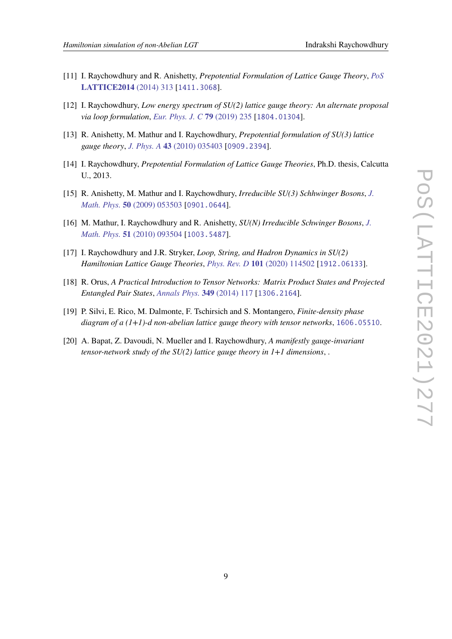- [11] I. Raychowdhury and R. Anishetty, *Prepotential Formulation of Lattice Gauge Theory*, *[PoS](https://doi.org/10.22323/1.214.0313)* **[LATTICE2014](https://doi.org/10.22323/1.214.0313)** (2014) 313 [[1411.3068](https://arxiv.org/abs/1411.3068)].
- [12] I. Raychowdhury, *Low energy spectrum of SU(2) lattice gauge theory: An alternate proposal via loop formulation*, *[Eur. Phys. J. C](https://doi.org/10.1140/epjc/s10052-019-6753-0)* **79** (2019) 235 [[1804.01304](https://arxiv.org/abs/1804.01304)].
- [13] R. Anishetty, M. Mathur and I. Raychowdhury, *Prepotential formulation of SU(3) lattice gauge theory*, *J. Phys. A* **43** [\(2010\) 035403](https://doi.org/10.1088/1751-8113/43/3/035403) [[0909.2394](https://arxiv.org/abs/0909.2394)].
- [14] I. Raychowdhury, *Prepotential Formulation of Lattice Gauge Theories*, Ph.D. thesis, Calcutta U., 2013.
- [15] R. Anishetty, M. Mathur and I. Raychowdhury, *Irreducible SU(3) Schhwinger Bosons*, *[J.](https://doi.org/10.1063/1.3122666) Math. Phys.* **50** [\(2009\) 053503](https://doi.org/10.1063/1.3122666) [[0901.0644](https://arxiv.org/abs/0901.0644)].
- <span id="page-8-0"></span>[16] M. Mathur, I. Raychowdhury and R. Anishetty, *SU(N) Irreducible Schwinger Bosons*, *[J.](https://doi.org/10.1063/1.3464267) Math. Phys.* **51** [\(2010\) 093504](https://doi.org/10.1063/1.3464267) [[1003.5487](https://arxiv.org/abs/1003.5487)].
- <span id="page-8-1"></span>[17] I. Raychowdhury and J.R. Stryker, *Loop, String, and Hadron Dynamics in SU(2) Hamiltonian Lattice Gauge Theories*, *Phys. Rev. D* **101** [\(2020\) 114502](https://doi.org/10.1103/PhysRevD.101.114502) [[1912.06133](https://arxiv.org/abs/1912.06133)].
- <span id="page-8-2"></span>[18] R. Orus, *A Practical Introduction to Tensor Networks: Matrix Product States and Projected Entangled Pair States*, *[Annals Phys.](https://doi.org/10.1016/j.aop.2014.06.013)* **349** (2014) 117 [[1306.2164](https://arxiv.org/abs/1306.2164)].
- [19] P. Silvi, E. Rico, M. Dalmonte, F. Tschirsich and S. Montangero, *Finite-density phase diagram of a (1+1)-d non-abelian lattice gauge theory with tensor networks*, [1606.05510](https://arxiv.org/abs/1606.05510).
- <span id="page-8-3"></span>[20] A. Bapat, Z. Davoudi, N. Mueller and I. Raychowdhury, *A manifestly gauge-invariant tensor-network study of the SU(2) lattice gauge theory in 1+1 dimensions*, .